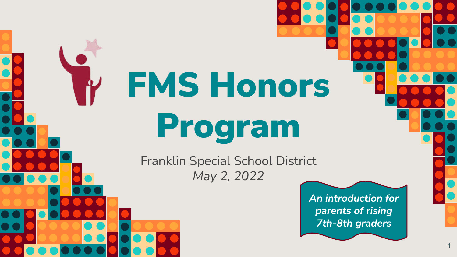FMS Honors Program

Franklin Special School District *May 2, 2022*

> *An introduction for parents of rising 7th-8th graders*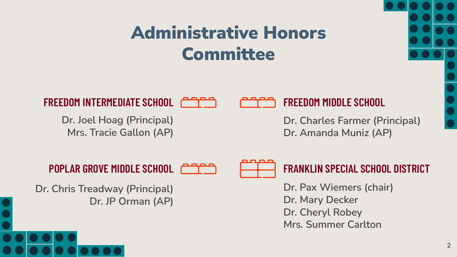### Administrative Honors **Committee**

**FREEDOM INTERMEDIATE SCHOOL FREEDOM MIDDLE SCHOOL**

**Dr. Joel Hoag (Principal) Mrs. Tracie Gallon (AP)**



**Dr. Charles Farmer (Principal) Dr. Amanda Muniz (AP)**



#### **POPLAR GROVE MIDDLE SCHOOL FRANKLIN SPECIAL SCHOOL DISTRICT**

**Dr. Chris Treadway (Principal) Dr. JP Orman (AP)** **Dr. Pax Wiemers (chair) Dr. Mary Decker Dr. Cheryl Robey Mrs. Summer Carlton**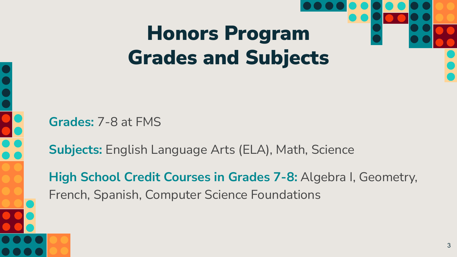## Honors Program Grades and Subjects

**Grades:** 7-8 at FMS

**Subjects:** English Language Arts (ELA), Math, Science

**High School Credit Courses in Grades 7-8:** Algebra I, Geometry, French, Spanish, Computer Science Foundations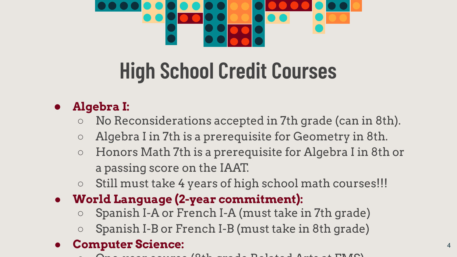

## **High School Credit Courses**

#### **● Algebra I:**

- No Reconsiderations accepted in 7th grade (can in 8th).
- Algebra I in 7th is a prerequisite for Geometry in 8th.
- Honors Math 7th is a prerequisite for Algebra I in 8th or a passing score on the IAAT.
- Still must take 4 years of high school math courses!!!
- **● World Language (2-year commitment):**
	- Spanish I-A or French I-A (must take in 7th grade)
	- Spanish I-B or French I-B (must take in 8th grade)

#### **● Computer Science:**

 $\Omega$  one-year course (8th grade Related Arts at FIMS)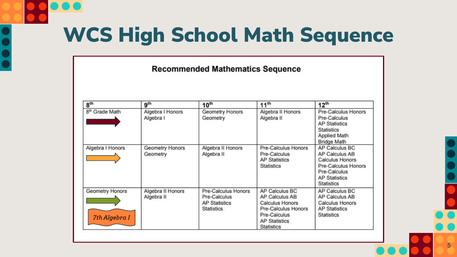## WCS High School Math Sequence

#### **Recommended Mathematics Sequence**

| 8 <sup>th</sup>                  | 9 <sup>th</sup>                 | 10 <sup>th</sup>                                                                 | 11 <sup>th</sup>                                                                                                                               | 12 <sup>th</sup>                                                                                                                               |
|----------------------------------|---------------------------------|----------------------------------------------------------------------------------|------------------------------------------------------------------------------------------------------------------------------------------------|------------------------------------------------------------------------------------------------------------------------------------------------|
| 8 <sup>th</sup> Grade Math       | Algebra I Honors<br>Algebra I   | Geometry Honors<br>Geometry                                                      | Algebra II Honors<br>Algebra II                                                                                                                | Pre-Calculus Honors<br>Pre-Calculus<br><b>AP Statistics</b><br><b>Statistics</b><br>Applied Math<br><b>Bridge Math</b>                         |
| Algebra I Honors                 | Geometry Honors<br>Geometry     | Algebra II Honors<br>Algebra II                                                  | Pre-Calculus Honors<br>Pre-Calculus<br><b>AP Statistics</b><br>Statistics                                                                      | AP Calculus BC<br>AP Calculus AB<br><b>Calculus Honors</b><br>Pre-Calculus Honors<br>Pre-Calculus<br><b>AP Statistics</b><br><b>Statistics</b> |
| Geometry Honors<br>7th Algebra I | Algebra II Honors<br>Algebra II | Pre-Calculus Honors<br>Pre-Calculus<br><b>AP Statistics</b><br><b>Statistics</b> | AP Calculus BC<br>AP Calculus AB<br><b>Calculus Honors</b><br>Pre-Calculus Honors<br>Pre-Calculus<br><b>AP Statistics</b><br><b>Statistics</b> | AP Calculus BC<br>AP Calculus AB<br><b>Calculus Honors</b><br><b>AP Statistics</b><br><b>Statistics</b>                                        |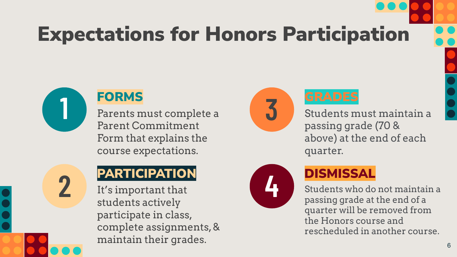## Expectations for Honors Participation



**2**

#### FORMS

Parents must complete a Parent Commitment Form that explains the course expectations.

### **PARTICIPATION**

It's important that students actively participate in class, complete assignments, & maintain their grades.





Students must maintain a passing grade (70 & above) at the end of each quarter.



#### **DISMISSAL**

Students who do not maintain a passing grade at the end of a quarter will be removed from the Honors course and rescheduled in another course.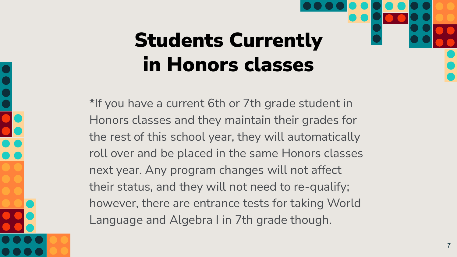## Students Currently in Honors classes

\*If you have a current 6th or 7th grade student in Honors classes and they maintain their grades for the rest of this school year, they will automatically roll over and be placed in the same Honors classes next year. Any program changes will not affect their status, and they will not need to re-qualify; however, there are entrance tests for taking World Language and Algebra I in 7th grade though.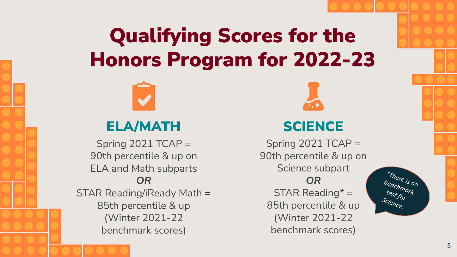### Qualifying Scores for the Honors Program for 2022-23



### ELA/MATH SCIENCE

Spring  $2021$  TCAP = 90th percentile & up on ELA and Math subparts *OR* STAR Reading/iReady Math = 85th percentile & up (Winter 2021-22 benchmark scores)

Spring  $2021$  TCAP = 90th percentile & up on Science subpart *OR*  $STAR$  Reading\* = 85th percentile & up (Winter 2021-22 benchmark scores)

*\*There is no benchmark test for Science.*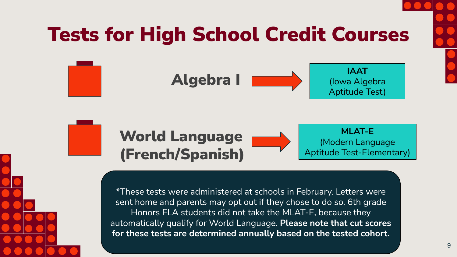

## Tests for High School Credit Courses





\*These tests were administered at schools in February. Letters were sent home and parents may opt out if they chose to do so. 6th grade Honors ELA students did not take the MLAT-E, because they automatically qualify for World Language. **Please note that cut scores for these tests are determined annually based on the tested cohort.**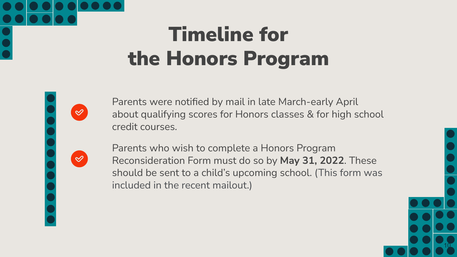## Timeline for the Honors Program

 $\infty$ 

Parents were notified by mail in late March-early April about qualifying scores for Honors classes & for high school credit courses.

Parents who wish to complete a Honors Program Reconsideration Form must do so by **May 31, 2022**. These should be sent to a child's upcoming school. (This form was included in the recent mailout.)

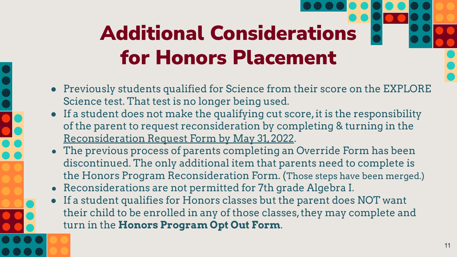# Additional Considerations for Honors Placement

- Previously students qualified for Science from their score on the EXPLORE Science test. That test is no longer being used.
- If a student does not make the qualifying cut score, it is the responsibility of the parent to request reconsideration by completing & turning in the Reconsideration Request Form by May 31, 2022.
- The previous process of parents completing an Override Form has been discontinued. The only additional item that parents need to complete is the Honors Program Reconsideration Form. (Those steps have been merged.)
- Reconsiderations are not permitted for 7th grade Algebra I.
- If a student qualifies for Honors classes but the parent does NOT want their child to be enrolled in any of those classes, they may complete and turn in the **Honors Program Opt Out Form**.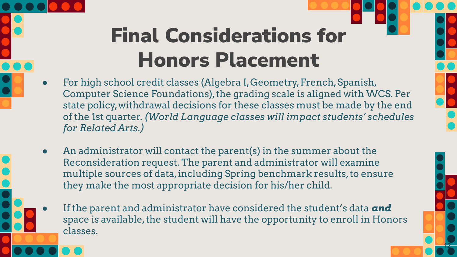## Final Considerations for Honors Placement

- For high school credit classes (Algebra I, Geometry, French, Spanish, Computer Science Foundations), the grading scale is aligned with WCS. Per state policy, withdrawal decisions for these classes must be made by the end of the 1st quarter. *(World Language classes will impact students' schedules for Related Arts.)*
- An administrator will contact the parent(s) in the summer about the Reconsideration request. The parent and administrator will examine multiple sources of data, including Spring benchmark results, to ensure they make the most appropriate decision for his/her child.
	- If the parent and administrator have considered the student's data **and** space is available, the student will have the opportunity to enroll in Honors classes.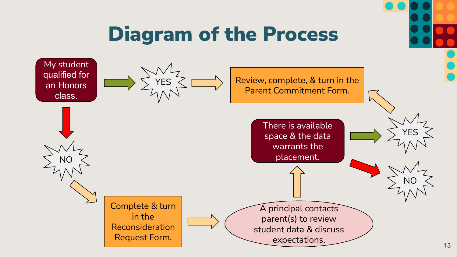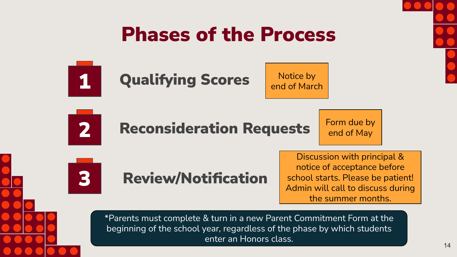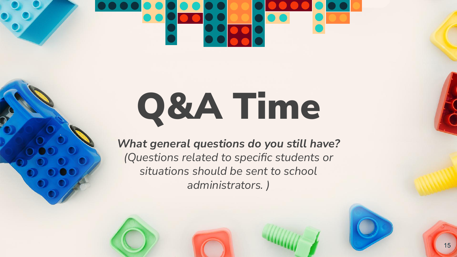# Q&A Time

*What general questions do you still have? (Questions related to specific students or situations should be sent to school administrators. )*